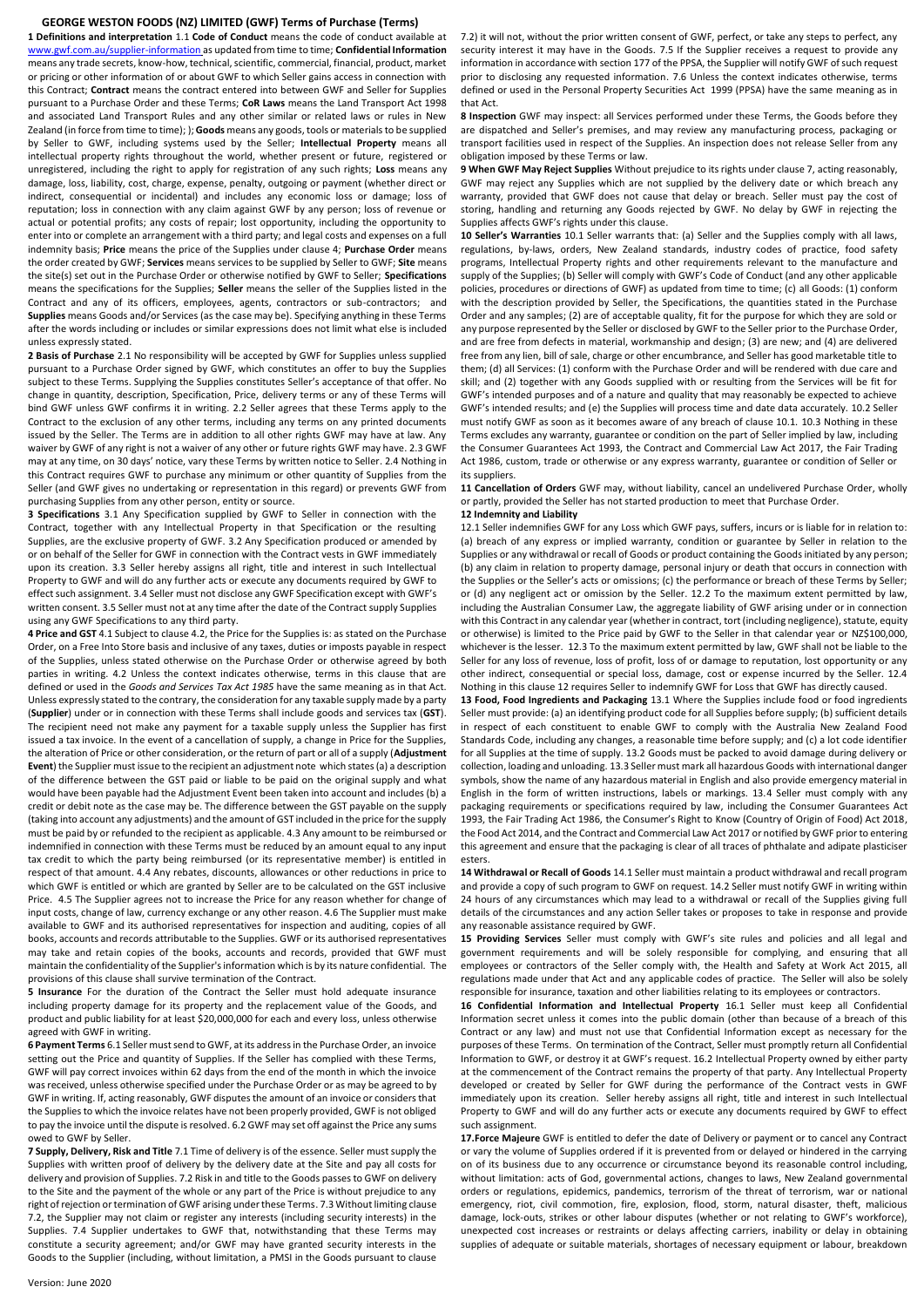## **GEORGE WESTON FOODS (NZ) LIMITED (GWF) Terms of Purchase (Terms)**

**1 Definitions and interpretation** 1.1 **Code of Conduct** means the code of conduct available at [www.gwf.com.au/supplier-information](http://www.gwf.com.au/supplier-information) as updated from time to time; **Confidential Information** means any trade secrets, know-how, technical, scientific, commercial, financial, product, market or pricing or other information of or about GWF to which Seller gains access in connection with this Contract; **Contract** means the contract entered into between GWF and Seller for Supplies pursuant to a Purchase Order and these Terms; **CoR Laws** means the Land Transport Act 1998 and associated Land Transport Rules and any other similar or related laws or rules in New Zealand (in force from time to time); ); **Goods** means any goods, tools or materials to be supplied by Seller to GWF, including systems used by the Seller; **Intellectual Property** means all intellectual property rights throughout the world, whether present or future, registered or unregistered, including the right to apply for registration of any such rights; **Loss** means any damage, loss, liability, cost, charge, expense, penalty, outgoing or payment (whether direct or indirect, consequential or incidental) and includes any economic loss or damage; loss of reputation; loss in connection with any claim against GWF by any person; loss of revenue or actual or potential profits; any costs of repair; lost opportunity, including the opportunity to enter into or complete an arrangement with a third party; and legal costs and expenses on a full indemnity basis; **Price** means the price of the Supplies under clause 4; **Purchase Order** means the order created by GWF; **Services** means services to be supplied by Seller to GWF; **Site** means the site(s) set out in the Purchase Order or otherwise notified by GWF to Seller; **Specifications** means the specifications for the Supplies; **Seller** means the seller of the Supplies listed in the Contract and any of its officers, employees, agents, contractors or sub-contractors; and **Supplies** means Goods and/or Services (as the case may be). Specifying anything in these Terms after the words including or includes or similar expressions does not limit what else is included unless expressly stated.

**2 Basis of Purchase** 2.1 No responsibility will be accepted by GWF for Supplies unless supplied pursuant to a Purchase Order signed by GWF, which constitutes an offer to buy the Supplies subject to these Terms. Supplying the Supplies constitutes Seller's acceptance of that offer. No change in quantity, description, Specification, Price, delivery terms or any of these Terms will bind GWF unless GWF confirms it in writing. 2.2 Seller agrees that these Terms apply to the Contract to the exclusion of any other terms, including any terms on any printed documents issued by the Seller. The Terms are in addition to all other rights GWF may have at law. Any waiver by GWF of any right is not a waiver of any other or future rights GWF may have. 2.3 GWF may at any time, on 30 days' notice, vary these Terms by written notice to Seller. 2.4 Nothing in this Contract requires GWF to purchase any minimum or other quantity of Supplies from the Seller (and GWF gives no undertaking or representation in this regard) or prevents GWF from purchasing Supplies from any other person, entity or source.

**3 Specifications** 3.1 Any Specification supplied by GWF to Seller in connection with the Contract, together with any Intellectual Property in that Specification or the resulting Supplies, are the exclusive property of GWF. 3.2 Any Specification produced or amended by or on behalf of the Seller for GWF in connection with the Contract vests in GWF immediately upon its creation. 3.3 Seller hereby assigns all right, title and interest in such Intellectual Property to GWF and will do any further acts or execute any documents required by GWF to effect such assignment. 3.4 Seller must not disclose any GWF Specification except with GWF's written consent. 3.5 Seller must not at any time after the date of the Contract supply Supplies using any GWF Specifications to any third party.

**4 Price and GST** 4.1 Subject to clause 4.2, the Price for the Supplies is: as stated on the Purchase Order, on a Free Into Store basis and inclusive of any taxes, duties or imposts payable in respect of the Supplies, unless stated otherwise on the Purchase Order or otherwise agreed by both parties in writing. 4.2 Unless the context indicates otherwise, terms in this clause that are defined or used in the *Goods and Services Tax Act 1985* have the same meaning as in that Act. Unless expressly stated to the contrary, the consideration for any taxable supply made by a party (**Supplier**) under or in connection with these Terms shall include goods and services tax (**GST**). The recipient need not make any payment for a taxable supply unless the Supplier has first issued a tax invoice. In the event of a cancellation of supply, a change in Price for the Supplies, the alteration of Price or other consideration, or the return of part or all of a supply (**Adjustment Event**) the Supplier must issue to the recipient an adjustment note which states (a) a description of the difference between the GST paid or liable to be paid on the original supply and what would have been payable had the Adjustment Event been taken into account and includes (b) a credit or debit note as the case may be. The difference between the GST payable on the supply (taking into account any adjustments) and the amount of GST included in the price for the supply must be paid by or refunded to the recipient as applicable. 4.3 Any amount to be reimbursed or indemnified in connection with these Terms must be reduced by an amount equal to any input tax credit to which the party being reimbursed (or its representative member) is entitled in respect of that amount. 4.4 Any rebates, discounts, allowances or other reductions in price to which GWF is entitled or which are granted by Seller are to be calculated on the GST inclusive Price. 4.5 The Supplier agrees not to increase the Price for any reason whether for change of input costs, change of law, currency exchange or any other reason. 4.6 The Supplier must make available to GWF and its authorised representatives for inspection and auditing, copies of all books, accounts and records attributable to the Supplies. GWF or its authorised representatives may take and retain copies of the books, accounts and records, provided that GWF must maintain the confidentiality of the Supplier's information which is by its nature confidential. The provisions of this clause shall survive termination of the Contract.

**5 Insurance** For the duration of the Contract the Seller must hold adequate insurance including property damage for its property and the replacement value of the Goods, and product and public liability for at least \$20,000,000 for each and every loss, unless otherwise agreed with GWF in writing.

**6 Payment Terms** 6.1 Seller must send to GWF, at its address in the Purchase Order, an invoice setting out the Price and quantity of Supplies. If the Seller has complied with these Terms, GWF will pay correct invoices within 62 days from the end of the month in which the invoice was received, unless otherwise specified under the Purchase Order or as may be agreed to by GWF in writing. If, acting reasonably, GWF disputes the amount of an invoice or considers that the Supplies to which the invoice relates have not been properly provided, GWF is not obliged to pay the invoice until the dispute is resolved. 6.2 GWF may set off against the Price any sums owed to GWF by Seller.

**7 Supply, Delivery, Risk and Title** 7.1 Time of delivery is of the essence. Seller must supply the Supplies with written proof of delivery by the delivery date at the Site and pay all costs for delivery and provision of Supplies. 7.2 Risk in and title to the Goods passes to GWF on delivery to the Site and the payment of the whole or any part of the Price is without prejudice to any right of rejection or termination of GWF arising under these Terms. 7.3 Without limiting clause 7.2, the Supplier may not claim or register any interests (including security interests) in the Supplies. 7.4 Supplier undertakes to GWF that, notwithstanding that these Terms may constitute a security agreement; and/or GWF may have granted security interests in the Goods to the Supplier (including, without limitation, a PMSI in the Goods pursuant to clause

7.2) it will not, without the prior written consent of GWF, perfect, or take any steps to perfect, any security interest it may have in the Goods. 7.5 If the Supplier receives a request to provide any information in accordance with section 177 of the PPSA, the Supplier will notify GWF of such request prior to disclosing any requested information. 7.6 Unless the context indicates otherwise, terms defined or used in the Personal Property Securities Act 1999 (PPSA) have the same meaning as in that Act.

**8 Inspection** GWF may inspect: all Services performed under these Terms, the Goods before they are dispatched and Seller's premises, and may review any manufacturing process, packaging or transport facilities used in respect of the Supplies. An inspection does not release Seller from any obligation imposed by these Terms or law.

**9 When GWF May Reject Supplies** Without prejudice to its rights under clause 7, acting reasonably, GWF may reject any Supplies which are not supplied by the delivery date or which breach any warranty, provided that GWF does not cause that delay or breach. Seller must pay the cost of storing, handling and returning any Goods rejected by GWF. No delay by GWF in rejecting the Supplies affects GWF's rights under this clause.

**10 Seller's Warranties** 10.1 Seller warrants that: (a) Seller and the Supplies comply with all laws, regulations, by-laws, orders, New Zealand standards, industry codes of practice, food safety programs, Intellectual Property rights and other requirements relevant to the manufacture and supply of the Supplies; (b) Seller will comply with GWF's Code of Conduct (and any other applicable policies, procedures or directions of GWF) as updated from time to time; (c) all Goods: (1) conform with the description provided by Seller, the Specifications, the quantities stated in the Purchase Order and any samples; (2) are of acceptable quality, fit for the purpose for which they are sold or any purpose represented by the Seller or disclosed by GWF to the Seller prior to the Purchase Order, and are free from defects in material, workmanship and design; (3) are new; and (4) are delivered free from any lien, bill of sale, charge or other encumbrance, and Seller has good marketable title to them; (d) all Services: (1) conform with the Purchase Order and will be rendered with due care and skill; and (2) together with any Goods supplied with or resulting from the Services will be fit for GWF's intended purposes and of a nature and quality that may reasonably be expected to achieve GWF's intended results; and (e) the Supplies will process time and date data accurately. 10.2 Seller must notify GWF as soon as it becomes aware of any breach of clause 10.1. 10.3 Nothing in these Terms excludes any warranty, guarantee or condition on the part of Seller implied by law, including the Consumer Guarantees Act 1993, the Contract and Commercial Law Act 2017, the Fair Trading Act 1986, custom, trade or otherwise or any express warranty, guarantee or condition of Seller or its suppliers.

**11 Cancellation of Orders** GWF may, without liability, cancel an undelivered Purchase Order, wholly or partly, provided the Seller has not started production to meet that Purchase Order. **12 Indemnity and Liability**

12.1 Seller indemnifies GWF for any Loss which GWF pays, suffers, incurs or is liable for in relation to: (a) breach of any express or implied warranty, condition or guarantee by Seller in relation to the Supplies or any withdrawal or recall of Goods or product containing the Goods initiated by any person; (b) any claim in relation to property damage, personal injury or death that occurs in connection with the Supplies or the Seller's acts or omissions; (c) the performance or breach of these Terms by Seller; or (d) any negligent act or omission by the Seller. 12.2 To the maximum extent permitted by law, including the Australian Consumer Law, the aggregate liability of GWF arising under or in connection with this Contract in any calendar year (whether in contract, tort (including negligence), statute, equity or otherwise) is limited to the Price paid by GWF to the Seller in that calendar year or NZ\$100,000, whichever is the lesser. 12.3 To the maximum extent permitted by law, GWF shall not be liable to the Seller for any loss of revenue, loss of profit, loss of or damage to reputation, lost opportunity or any other indirect, consequential or special loss, damage, cost or expense incurred by the Seller. 12.4 Nothing in this clause 12 requires Seller to indemnify GWF for Loss that GWF has directly caused.

**13 Food, Food Ingredients and Packaging** 13.1 Where the Supplies include food or food ingredients Seller must provide: (a) an identifying product code for all Supplies before supply; (b) sufficient details in respect of each constituent to enable GWF to comply with the Australia New Zealand Food Standards Code, including any changes, a reasonable time before supply; and (c) a lot code identifier for all Supplies at the time of supply. 13.2 Goods must be packed to avoid damage during delivery or collection, loading and unloading. 13.3 Seller must mark all hazardous Goods with international danger symbols, show the name of any hazardous material in English and also provide emergency material in English in the form of written instructions, labels or markings. 13.4 Seller must comply with any packaging requirements or specifications required by law, including the Consumer Guarantees Act 1993, the Fair Trading Act 1986, the Consumer's Right to Know (Country of Origin of Food) Act 2018, the Food Act 2014, and the Contract and Commercial Law Act 2017 or notified by GWF prior to entering this agreement and ensure that the packaging is clear of all traces of phthalate and adipate plasticiser esters.

**14 Withdrawal or Recall of Goods** 14.1 Seller must maintain a product withdrawal and recall program and provide a copy of such program to GWF on request. 14.2 Seller must notify GWF in writing within 24 hours of any circumstances which may lead to a withdrawal or recall of the Supplies giving full details of the circumstances and any action Seller takes or proposes to take in response and provide any reasonable assistance required by GWF.

**15 Providing Services** Seller must comply with GWF's site rules and policies and all legal and government requirements and will be solely responsible for complying, and ensuring that all employees or contractors of the Seller comply with, the Health and Safety at Work Act 2015, all regulations made under that Act and any applicable codes of practice. The Seller will also be solely responsible for insurance, taxation and other liabilities relating to its employees or contractors.

**16 Confidential Information and Intellectual Property** 16.1 Seller must keep all Confidential Information secret unless it comes into the public domain (other than because of a breach of this Contract or any law) and must not use that Confidential Information except as necessary for the purposes of these Terms. On termination of the Contract, Seller must promptly return all Confidential Information to GWF, or destroy it at GWF's request. 16.2 Intellectual Property owned by either party at the commencement of the Contract remains the property of that party. Any Intellectual Property developed or created by Seller for GWF during the performance of the Contract vests in GWF immediately upon its creation. Seller hereby assigns all right, title and interest in such Intellectual Property to GWF and will do any further acts or execute any documents required by GWF to effect such assignment.

**17.Force Majeure** GWF is entitled to defer the date of Delivery or payment or to cancel any Contract or vary the volume of Supplies ordered if it is prevented from or delayed or hindered in the carrying on of its business due to any occurrence or circumstance beyond its reasonable control including, without limitation: acts of God, governmental actions, changes to laws, New Zealand governmental orders or regulations, epidemics, pandemics, terrorism of the threat of terrorism, war or national emergency, riot, civil commotion, fire, explosion, flood, storm, natural disaster, theft, malicious damage, lock-outs, strikes or other labour disputes (whether or not relating to GWF's workforce), unexpected cost increases or restraints or delays affecting carriers, inability or delay in obtaining supplies of adequate or suitable materials, shortages of necessary equipment or labour, breakdown